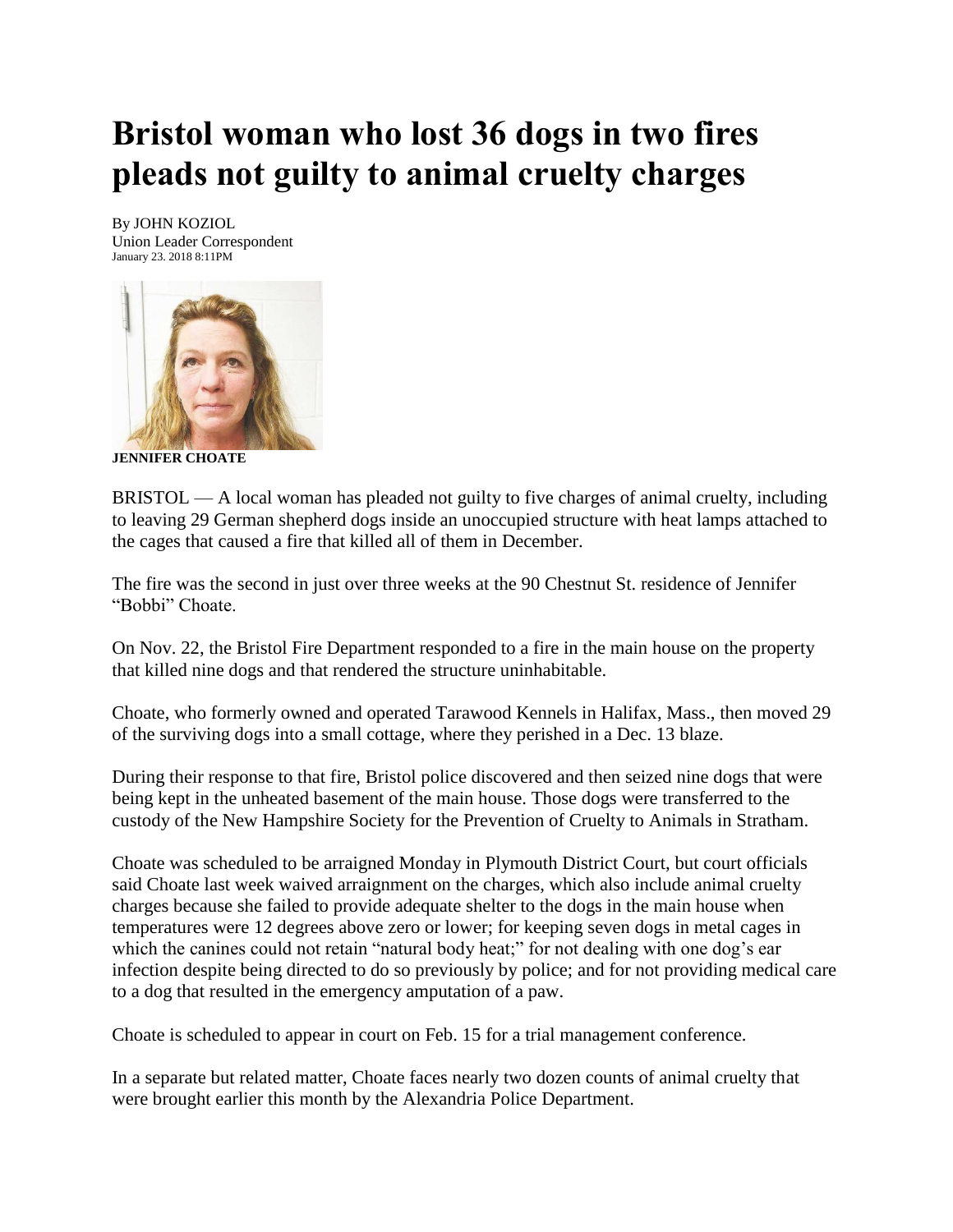## **Bristol woman who lost 36 dogs in two fires pleads not guilty to animal cruelty charges**

By JOHN KOZIOL Union Leader Correspondent January 23. 2018 8:11PM



**JENNIFER CHOATE**

BRISTOL — A local woman has pleaded not guilty to five charges of animal cruelty, including to leaving 29 German shepherd dogs inside an unoccupied structure with heat lamps attached to the cages that caused a fire that killed all of them in December.

The fire was the second in just over three weeks at the 90 Chestnut St. residence of Jennifer "Bobbi" Choate.

On Nov. 22, the Bristol Fire Department responded to a fire in the main house on the property that killed nine dogs and that rendered the structure uninhabitable.

Choate, who formerly owned and operated Tarawood Kennels in Halifax, Mass., then moved 29 of the surviving dogs into a small cottage, where they perished in a Dec. 13 blaze.

During their response to that fire, Bristol police discovered and then seized nine dogs that were being kept in the unheated basement of the main house. Those dogs were transferred to the custody of the New Hampshire Society for the Prevention of Cruelty to Animals in Stratham.

Choate was scheduled to be arraigned Monday in Plymouth District Court, but court officials said Choate last week waived arraignment on the charges, which also include animal cruelty charges because she failed to provide adequate shelter to the dogs in the main house when temperatures were 12 degrees above zero or lower; for keeping seven dogs in metal cages in which the canines could not retain "natural body heat;" for not dealing with one dog's ear infection despite being directed to do so previously by police; and for not providing medical care to a dog that resulted in the emergency amputation of a paw.

Choate is scheduled to appear in court on Feb. 15 for a trial management conference.

In a separate but related matter, Choate faces nearly two dozen counts of animal cruelty that were brought earlier this month by the Alexandria Police Department.